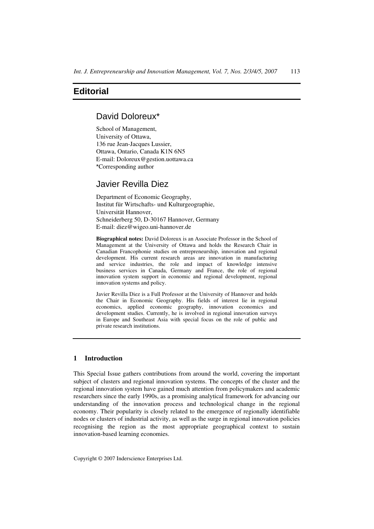# **Editorial**

# David Doloreux\*

School of Management, University of Ottawa, 136 rue Jean-Jacques Lussier, Ottawa, Ontario, Canada K1N 6N5 E-mail: Doloreux@gestion.uottawa.ca \*Corresponding author

# Javier Revilla Diez

Department of Economic Geography, Institut für Wirtschafts- und Kulturgeographie, Universität Hannover, Schneiderberg 50, D-30167 Hannover, Germany E-mail: diez@wigeo.uni-hannover.de

**Biographical notes:** David Doloreux is an Associate Professor in the School of Management at the University of Ottawa and holds the Research Chair in Canadian Francophonie studies on entrepreneurship, innovation and regional development. His current research areas are innovation in manufacturing and service industries, the role and impact of knowledge intensive business services in Canada, Germany and France, the role of regional innovation system support in economic and regional development, regional innovation systems and policy.

Javier Revilla Diez is a Full Professor at the University of Hannover and holds the Chair in Economic Geography. His fields of interest lie in regional economics, applied economic geography, innovation economics and development studies. Currently, he is involved in regional innovation surveys in Europe and Southeast Asia with special focus on the role of public and private research institutions.

## **1 Introduction**

This Special Issue gathers contributions from around the world, covering the important subject of clusters and regional innovation systems. The concepts of the cluster and the regional innovation system have gained much attention from policymakers and academic researchers since the early 1990s, as a promising analytical framework for advancing our understanding of the innovation process and technological change in the regional economy. Their popularity is closely related to the emergence of regionally identifiable nodes or clusters of industrial activity, as well as the surge in regional innovation policies recognising the region as the most appropriate geographical context to sustain innovation-based learning economies.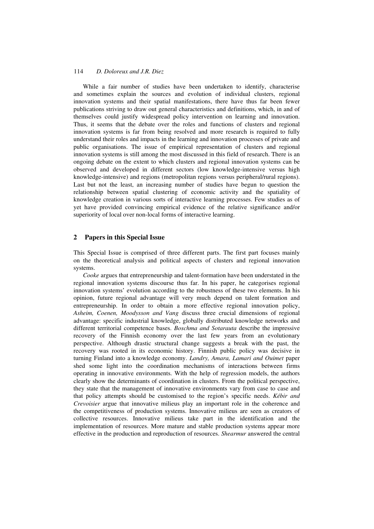#### 114 *D. Doloreux and J.R. Diez*

While a fair number of studies have been undertaken to identify, characterise and sometimes explain the sources and evolution of individual clusters, regional innovation systems and their spatial manifestations, there have thus far been fewer publications striving to draw out general characteristics and definitions, which, in and of themselves could justify widespread policy intervention on learning and innovation. Thus, it seems that the debate over the roles and functions of clusters and regional innovation systems is far from being resolved and more research is required to fully understand their roles and impacts in the learning and innovation processes of private and public organisations. The issue of empirical representation of clusters and regional innovation systems is still among the most discussed in this field of research. There is an ongoing debate on the extent to which clusters and regional innovation systems can be observed and developed in different sectors (low knowledge-intensive versus high knowledge-intensive) and regions (metropolitan regions versus peripheral/rural regions). Last but not the least, an increasing number of studies have begun to question the relationship between spatial clustering of economic activity and the spatiality of knowledge creation in various sorts of interactive learning processes. Few studies as of yet have provided convincing empirical evidence of the relative significance and/or superiority of local over non-local forms of interactive learning.

#### **2 Papers in this Special Issue**

This Special Issue is comprised of three different parts. The first part focuses mainly on the theoretical analysis and political aspects of clusters and regional innovation systems.

*Cooke* argues that entrepreneurship and talent-formation have been understated in the regional innovation systems discourse thus far. In his paper, he categorises regional innovation systems' evolution according to the robustness of these two elements. In his opinion, future regional advantage will very much depend on talent formation and entrepreneurship. In order to obtain a more effective regional innovation policy, *Asheim, Coenen, Moodysson and Vang* discuss three crucial dimensions of regional advantage: specific industrial knowledge, globally distributed knowledge networks and different territorial competence bases. *Boschma and Sotarauta* describe the impressive recovery of the Finnish economy over the last few years from an evolutionary perspective. Although drastic structural change suggests a break with the past, the recovery was rooted in its economic history. Finnish public policy was decisive in turning Finland into a knowledge economy. *Landry, Amara, Lamari and Ouimet* paper shed some light into the coordination mechanisms of interactions between firms operating in innovative environments. With the help of regression models, the authors clearly show the determinants of coordination in clusters. From the political perspective, they state that the management of innovative environments vary from case to case and that policy attempts should be customised to the region's specific needs. *Kébir and Crevoisier* argue that innovative milieus play an important role in the coherence and the competitiveness of production systems. Innovative milieus are seen as creators of collective resources. Innovative milieus take part in the identification and the implementation of resources. More mature and stable production systems appear more effective in the production and reproduction of resources. *Shearmur* answered the central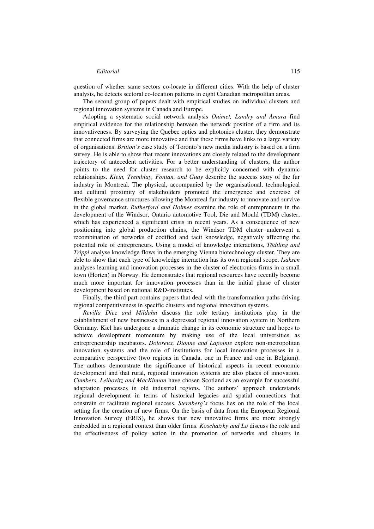#### *Editorial* 115

question of whether same sectors co-locate in different cities. With the help of cluster analysis, he detects sectoral co-location patterns in eight Canadian metropolitan areas.

The second group of papers dealt with empirical studies on individual clusters and regional innovation systems in Canada and Europe.

Adopting a systematic social network analysis *Ouimet, Landry and Amara* find empirical evidence for the relationship between the network position of a firm and its innovativeness. By surveying the Quebec optics and photonics cluster, they demonstrate that connected firms are more innovative and that these firms have links to a large variety of organisations. *Britton's* case study of Toronto's new media industry is based on a firm survey. He is able to show that recent innovations are closely related to the development trajectory of antecedent activities. For a better understanding of clusters, the author points to the need for cluster research to be explicitly concerned with dynamic relationships. *Klein, Tremblay, Fontan, and Guay* describe the success story of the fur industry in Montreal. The physical, accompanied by the organisational, technological and cultural proximity of stakeholders promoted the emergence and exercise of flexible governance structures allowing the Montreal fur industry to innovate and survive in the global market. *Rutherford and Holmes* examine the role of entrepreneurs in the development of the Windsor, Ontario automotive Tool, Die and Mould (TDM) cluster, which has experienced a significant crisis in recent years. As a consequence of new positioning into global production chains, the Windsor TDM cluster underwent a recombination of networks of codified and tacit knowledge, negatively affecting the potential role of entrepreneurs. Using a model of knowledge interactions, *Tödtling and Trippl* analyse knowledge flows in the emerging Vienna biotechnology cluster. They are able to show that each type of knowledge interaction has its own regional scope. *Isaksen* analyses learning and innovation processes in the cluster of electronics firms in a small town (Horten) in Norway. He demonstrates that regional resources have recently become much more important for innovation processes than in the initial phase of cluster development based on national R&D-institutes.

Finally, the third part contains papers that deal with the transformation paths driving regional competitiveness in specific clusters and regional innovation systems.

*Revilla Diez and Mildahn* discuss the role tertiary institutions play in the establishment of new businesses in a depressed regional innovation system in Northern Germany. Kiel has undergone a dramatic change in its economic structure and hopes to achieve development momentum by making use of the local universities as entrepreneurship incubators. *Doloreux, Dionne and Lapointe* explore non-metropolitan innovation systems and the role of institutions for local innovation processes in a comparative perspective (two regions in Canada, one in France and one in Belgium). The authors demonstrate the significance of historical aspects in recent economic development and that rural, regional innovation systems are also places of innovation. *Cumbers, Leibovitz and MacKinnon* have chosen Scotland as an example for successful adaptation processes in old industrial regions. The authors' approach understands regional development in terms of historical legacies and spatial connections that constrain or facilitate regional success. *Sternberg's* focus lies on the role of the local setting for the creation of new firms. On the basis of data from the European Regional Innovation Survey (ERIS), he shows that new innovative firms are more strongly embedded in a regional context than older firms. *Koschatzky and Lo* discuss the role and the effectiveness of policy action in the promotion of networks and clusters in